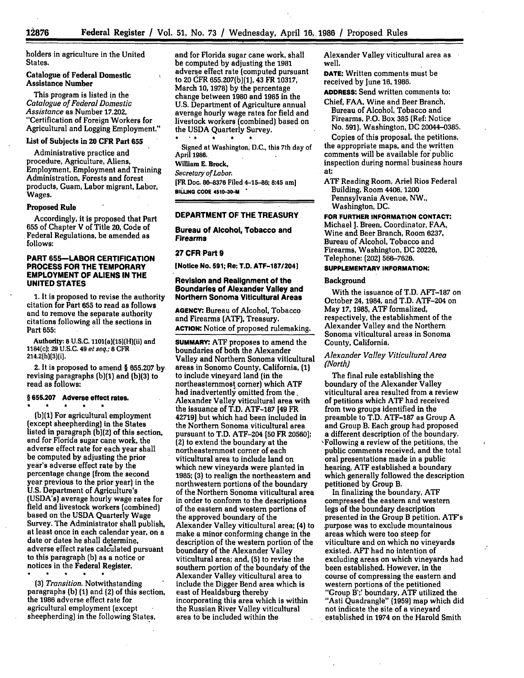holders in agriculture in the United States.

# Catalogue of Federal Domestic Assistance Number

This program is listed in the *Catalogue of Federal Domestic Assistance* as Number **17.202,** "Certification of Foreign Workers for Agricultural and Logging Employment."

## List of Subjects in **20** CFR Part **655**

Administrative practice and procedure, Agriculture, Aliens, Employment, Employment and Training Administration, Forests and forest products, Guam, Labor migrant, Labor, Wages.

# Proposed Rule

Accordingly, it is proposed that Part **655** of Chapter V of Title 20, Code of Federal Regulations, be amended as **follows:**

# **PART 655-LABOR CERTIFICATION PROCESS FOR THE TEMPORARY EMPLOYMENT OF ALIENS IN THE UNITED STATES**

**1.** It is proposed to revise the authority citation for Part **655** to read as follows and to remove the separate authority citations following all the sections in Part **655:**

Authority: **8 U.S.C.** 1101(a)(15)(H)(ii} and 1184(c); **29 U.S.C.** 49 *et seq.; 8* CFR 214.2{h)(3)(i].

2. It is proposed to amend § **655.207** by revising paragraphs **(b)(1)** and **(b)(3)** to read as follows:

#### **§ 655.207 Adverse effect** rates.

**(b)(1)** For agricultural employment (except sheepherding) in the States listed in paragraph **(b)(2)** of this section, and for Florida sugar cane work, the adverse effect rate for each year shall be computed **by** adjusting the prior year's adverse effect rate **by** the percentage change (from the second year previous to the prior year) in the **U.S.** Department of Agriculture's (USDA's) average hourly wage rates for field and livestock workers (combined) based on the **USDA** Quarterly Wage Survey. The Administrator shall publish, at least once in each calendar year, on a date or dates he shall determine, adverse effect rates calculated pursuant to this paragraph **(b)** as a notice or notices in the Federal Register.

*(3) Transition.* Notwithstanding paragraphs **(b)** (1) and (2) of this section, the 1986 adverse effect rate for agricultural employment (except sheepherding) in the following States,

and for Florida sugar cane work, shall be computed **by** adjusting the **1981** adverse effect rate (computed pursuant to 20 **CFR 655.207(b)(1),** 43 FR **10317,** March **10, 1978) by** the percentage change between **1980** and **1985** in the **U.S.** Department of Agriculture annual average hourly wage rates for field and livestock workers (combined) based on the **USDA** Quarterly Survey.

Signed at Washington, **D.C.,** this 7th day of April **1986.** William **E.** Brock,

*Secretary of Labor.*

[FR Doc. **86-8376** Filed 4-15-86; 8:45 am] **BIWNG CODE 4510-30-M**

# **DEPARTMENT OF THE TREASURY**

**Bureau of Alcohol, Tobacco and Firearms**

#### **27 CFR Part 9**

**[Notice No. 591; Re: T.D. ATF-187/204]**

## **Revision and Realignment of the Boundaries of Alexander Valley and Northern Sonoma Viticultural Areas**

**AGENCY:** Bureau of Alcohol, Tobacco and Firearms **(ATF),** Treasury. **ACTION:** Notice of proposed rulemaking.

**SUMMARY:** ATF proposes to amend the boundaries of both the Alexander Valley and Northern Sonoma viticultural areas in Sonomo County, California, **(1)** to include vineyard land (in the northeasternmost corner) which ATF had inadvertently omitted from the, Alexander Valley viticultural area with the issuance of T.D. ATF-187 [49 FR 42719] but which had been included in the Northern Sonoma viticultural area pursuant to T.D. ATF-204 **[50** FR **20560];** (2) to extend the boundary at the northeasternmost corner of each viticultural area to include land on which new vineyards were planted in **1985; (3)** to realign the northeastern and northwestern portions of the boundary of the Northern Sonoma viticultural area in order to conform to the descriptions of the eastern and western portions of the approved boundary of the Alexander Valley viticultural area; (4) to make a minor conforming change in the description of the western portion of the boundary of the Alexander Valley viticultural area; and, **(5)** to revise the southern portion of the boundary of the Alexander Valley viticultural area to include the Digger Bend area which is east of Healdsburg thereby incorporating this area which is within the Russian River Valley viticultural area to be included within the

Alexander Valley viticultural area as well.

**DATE:** Written comments must be received by June **16,** 1986.

**ADDRESS:.Send** written comments to:

Chief, FAA, Wine and Beer Branch, Bureau of Alcohol, Tobacco and Firearms, P.O. Box **385** (Ref: Notice No. **591),** Washington, **DC** 20044-0385.

Copies of this proposal, the petitions, the appropriate maps, and the written comments will be available for'public inspection during normal business hours at:

**ATF** Reading Room, Ariel Rios Federal Building, Room 4406, **1200** Pennsylvania Avenue, NW., Washington, **DC.**

**FOR FURTHER INFORMATION CONTACT:**

Michael **1.** Breen, Coordinator, FAA, Wine and Beer Branch, Room **6237,** Bureau of Alcohol, Tobacco and Firearms, Washington, **DC** 20226, Telephone: (202) 56%-7626.

# **SUPPLEMENTARY INFORMATION:**

# Background

With the issuance of T.D. AFT-187 on October 24, 1984, and T.D. ATF-204 on May **17, 1985, ATF** formalized, respectively, the establishment of the Alexander Valley and the Northern Sonoma viticultural areas in Sonoma County, California.

# *Alexander Valley Viticultural Area (North]*

The final rule establishing the boundary of the Alexander Valley viticultural area resulted from a review of petitions which **ATF** had received from two groups identified in the preamble to T.D. **ATF-187** as Group **A** and Group B. Each group had proposed a different description of the boundary. ,Following a review of the petitions, the public comments received, and the total oral presentations made in a public hearing, **ATF** established a boundary which generally followed the description petitioned **by** Group B.

In finalizing the boundary, **ATF** compressed the eastern and western legs of the boundary description presented in the Group B petition. ATF's .purpose was to exclude mountainous areas which were too steep for viticulture and on which no vineyards existed. AFT had no intention of excluding areas on which vineyards had been established. However, in the course of compressing the eastern and western portions of the petitioned "Group B';' boundary, **ATF** utilized the "Asti Quadrangle" (1959) map which did not indicate the site of a vineyard established in 1974 on the Harold Smith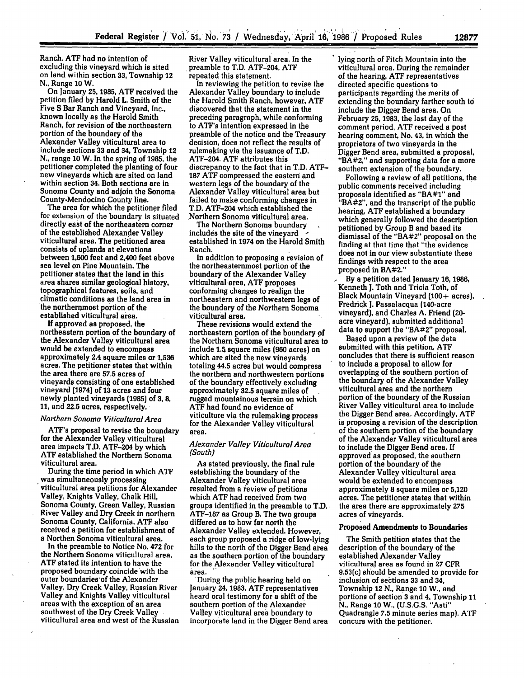Ranch. ATF had no intention of excluding this vineyard which is sited on land within section **33,** Township 12 **N.,** Range **10** W.

On January 25,1985, ATF received the petition filed **by** Harold L. Smith of the Five **S** Bar Ranch and Vineyard, Inc., known locally as the Harold Smith Ranch, for revision of the northeastern portion of the boundary of the Alexander Valley viticultural area to include sections **33** and 34, Township 12 **N.,** range **10** W. In the spring of **1985,** the petitioner completed the planting **of** four new vineyards which are sited on land within section 34. Both sections are in Sonoma County and adjoin the Sonoma, County-Mendocino County line.

The area for which the petitioner filed for extension of the boundary is situated directly east of the northeastern corner of the established Alexander Valley viticultural area. The petitioned area consists of uplands at elevations between **1,600** feet and 2,400 feet above sea level on Pine Mountain. The petitioner states that the land in this area shares similar geological history, topographical features, soils, and climatic conditions as the land area in the northernmost portion of the established viticultural area.

**If approved as proposed, the** northeastern portion of the boundary of the Alexander Valley viticultural area would be extended to encompass approximately 2.4 square miles or **1,536** acres. The petitioner states that within the area there are **57.5** acres of vineyards consisting of one established vineyard (1974) of **13** acres and four newly planted vineyards **(1985) of 3, 8,** 11, and 22.5 acres, respectively.

#### *Northern Sonoma Viticultural Area*

ATF's proposal to revise the boundary for the Alexander Valley viticultural area impacts T.D. ATF-204 **by** which **ATF** established the Northern Sonoma viticultural area.

During the time period in which **ATF** was simultaneously processing viticultural area petitions for Alexander Valley, Knights Valley, Chalk Hill, Sonoma County, Green Valley, Russian River Valley and Dry Creek in northern Sonoma County, California, ATF also received a petition for establishment of<br>a Northen Sonoma viticultural area.

In the preamble to Notice No. 472 for the Northern Sonoma viticultural area, **ATF** stated its intention to have the proposed boundary coincide with the outer boundaries of the Alexander Valley, Dry Creek Valley, Russian River Valley and Knights Valley viticultural areas with the exception of an area southwest of the Dry Creek Valley viticultural area and west of the Russian River Valley viticultural area. In the preamble to T.D. ATF-204, **ATF** repeated this statement.

In reviewing the petition to revise the Alexander Valley boundary to include the Harold Smith Ranch, however, **ATF** discovered that the statement in the preceding paragraph, while conforming to ATF's intention expressed in the preamble of the notice and the Treasury decision, does not reflect the results of rulemaking via the issuance of T.D. ATF-204. **ATF** attributes this discrepancy to the fact that in T.D. **ATF-187 ATF** compressed the eastern and western legs of the boundary of the Alexander Valley viticultural area but failed to make conforming changes in T.D. ATF-204 which established the Northern Sonoma viticultural area.

The Northern Sonoma boundary includes the site of the vineyard  established in 1974 on the Harold Smith Ranch.

In addition to proposing a revision of the northeasternmost portion of the boundary of the Alexander Valley viticultural -area, **ATF** proposes conforming changes to realign the northeastern and northwestern legs of the boundary of the Northern Sonoma viticultural area.

These revisions would extend the northeastern portion of the boundary **of** the Northern Sonoma viticultural area to include **1.5** square miles **(960** acres) on which are sited the new vineyards totaling 44.5 acres but would compress the northern and northwestern portions of the boundary effectively excluding approximately **32.5** square miles of rugged mountainous terrain on which **ATF** had found no evidence of viticulture via the rulemaking process for the Alexander Valley viticultural area.

# *Alexander Valley Viticultural Area (South)*

As stated previously, the final rule establishing the boundary of the Alexander Valley viticultural area resulted from a review of petitions which **ATF** had received from two groups identified in the preamble to T.D. **ATF-187** as Group B. The two groups differed as to how far north the Alexander Valley extended. However, each group proposed a ridge of low-lying hills to the north **Of** the Digger Bend area as the southern portion of the boundary for the Alexander Valley viticultural<br>area.

area. During the public hearing held on January 24, **1983, ATF** representatives heard oral testimony for a shift of the southern portion of the Alexander Valley viticultural area boundary to incorporate land in the Digger Bend area lying north of Fitch Mountain into the viticultural area. During the remainder of the hearing, **ATF** representatives directed specific questions to participants regarding the merits of extending the boundary farther south to include the Digger Bend area. On February **25, 1983,** the last day of the comment period, **ATF** received a post hearing comment, No. 43, in which the proprietors of two vineyards in the Digger Bend area, submitted a proposal, "BA#2," and supporting data for a more southern extension of the boundary.

Following a review of all petitions, the public comments received including proposals identified as "BA#1" and "BA#2", and the transcript of the public hearing, **ATF** established a boundary which generally followed the description petitioned **by** Group B and based its dismissal of the "BA#2" proposal on the finding at that time that "the evidence does not in our view substantiate these findings with respect to the area proposed in BA#2."

- **By** a petition dated January **16,1986,** Kenneth **J.** Toth and Tricia Toth, of Black Mountain Vineyard **(100+** acres), Fredrick **J.** Passalacqua (140-acre vineyard), and Charles **A.** Friend (20 acre vineyard), submitted additional data to support the "BA#2" proposal.

Based upon a review of the data submitted with this petition, **ATF** concludes that there is sufficient reason to include a proposal to allow for overlapping of the southern portion of the boundary of the Alexander Valley viticultural area and the northern portion of the boundary of the Russian River Valley viticultural area to include the Digger Bend area. Accordingly, **ATF** is proposing a revision of the description of the southern portion of the boundary of the Alexander Valley viticultural area to include the Digger Bend area. If approved as proposed, the southern portion of the boundary of the Alexander Valley viticultural area would be extended to encompass approximately **8** square miles or **5,120** acres. The petitioner states that within the area there are approximately **275** acres of vineyards.

# Proposed Amendments to Boundaries

The Smith petition states that the description of the boundary of the established Alexander Valley viticultural area as found in **27** CFR 9.53(c) should be amended to provide for inclusion of sections 33 and 34, Township 12 **N.,** Range **10** W., and portions of section **3** and 4, Township **11** N., Range **10** W., (U.S.G.S. "Asti" Quadrangle **7.5** minute series map). ATF concurs with the petitioner.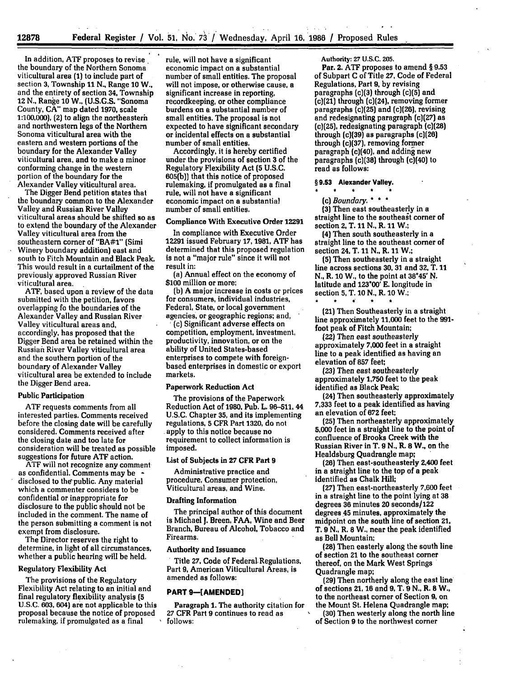In addition, **ATF** proposes to revise the boundary of the Northern Sonoma viticultural area **(1)** to include part of section **3,** Township **11 N.,** Range **10** W.. and the entirety of section 34, Township 12 **N.,** Range **10 W.. (U.S.G.S.** "Sonoma County, **CA"** map dated **1970,** scale **1:100,000),** (2) to align the northeasterh and northwestern legs of the Northern Sonoma viticultural area with the eastern and western portions **of** the boundary for the Alexander Valley viticultural area, and to make a minor conforming change in the western portion of the boundary for the<br>Alexander Valley viticultural area.

The Digger Bend petition states that the boundary common to the Alexander Valley and Russian River Valley viticultural areas should be shifted so as to extend the boundary of the Alexander Valley viticultural area from the southeastern corner of "BA#1" (Simi Winery boundary addition) east and south to Fitch Mountain and Black Peak. This would result in a curtailment of the previously approved Russian River viticultural area. **ATF,** based upon a review of the data

submitted with the petition, favors overlapping fo the boundaries of the Alexander Valley and Russian River Valley viticultural areas and, accordingly, has proposed that the Digger Bend area be retained within the Russian River Valley viticultural area and the southern portion of the boundary of Alexander Valley viticultural area be extended to include the Digger Bend area.

#### Public Participation

**ATF** requests comments from all interested parties. Comments received before the closing date will be carefully considered. Comments received after the closing date and too late for consideration will be treated as possible suggestions for future **ATF** action.

ATF will not recognize any comment as confidential. Comments may be  disclosed to the'public. Any material which a commenter considers to be confidential or inappropriate for disclosure to the public should not be included in the comment. The name of the person submitting a comment is not exempt from disclosure.

The Director reserves the right to determine, in light of all circumstances, whether a public hearing will be held.

# Regulatory Flexibility Act

The provisions of the Regulatory Flexibility Act relating to an initial and final regulatory flexibility analysis **(5** U.S.C. **603,** 604) are not applicable to this proposal because the notice of proposed rulemaking, if promulgated as a final

rule, will not have a significant economic impact on a substantial number of small entities. The proposal will not impose, or otherwise cause, a significant increase in reporting, recordkeeping, or other compliance burdens on a substantial number of small entities. The proposal is not expected to have significant secondary or incidental effects on a substantial number of small entities.

Accordingly, it is hereby certified under the provisions of section **3** of the Regulatory Flexibility Act **(5 U.S.C. 605(b))** that this notice of proposed rulemaking, if promulgated as a final rule, will not have a significant economic impact on a substantial number of small entities.

#### Compliance With Executive Order **12291**

In compliance with Executive Order 12291 issued February **17, 1981, ATF** has determined that this proposed regulation is not a "major rule" since it will not result in:

(a) Annual effect on the economy of **\$100** million or more;

**(b) A** major increase in costs or prices for consumers, individual industries, Federal, State, or local government agencies, or geographic regions; and,

( (c) Significant adverse effects on competition, employment, investment, productivity, innovation, or on the ability of United States-based enterprises to compete with foreignbased enterprises in domestic or export markets.

#### Paperwork Reduction Act

The provisions of the Paperwork Reduction Act of **1980,** Pub. L. **96-511,** 44 **U.S.C.** Chapter **35,** and its implementing regulations, **5** CFR Part **1320,** do not apply to this notice because no requirement to collect information is imposed.

#### List of Subjects in **27** CFR Part **9**

Administrative practice and procedure, Consumer protection, Viticultural areas, and Wine.

#### Drafting Information

The principal author of this document is Michael **J.** Breen, **FAA,** Wine and Beer Branch, Bureau of Alcohol, Tobacco and Firearms.

Authority and Issuance **.** Title **27,** Code of Federal. Regulations, Part **9,** American Viticultural Areas, is amended as follows:

# **PART 9-[AMENDED]**

Paragraph **1.** The authority citation for **27** CFR Part **9** continues to read as **follows:**

Authority: **27 U.S.C. 205.**

a conta

Par. 2. **ATF** proposes to amend § **9.53** of Subpart **C** of Title **27,** Code of Federal Regulations, Part **9, by** revising paragraphs (c)(3) through (c)(5) and (c)(21) through (c)(24), removing former paragraphs (c)(25) and (c)(26), revising and redesignating paragraph (c)(27) as (c)(25), redesignating paragraph (c)(28) through (c)(39) as paragraphs (c)(26) through (c)(37), removing former paragraph (c)(40), and adding new paragraphs (c)(38) through (c)(40) to read as follows:

# **§ 9.53 Alexander Valley.**

*(c) Boundary. \* \** **(3)** Then east southeasterly in a

straight line to the southeast corner of section 2, T. 11 **N.,** R. 11 W.;

(4) Then south southeasterly in a straight line to the southeast comer of section 24, T. 11 **N.,** R. 11 W.;

**(5)** Then southeasterly in a straight line across sections **30, 31** and **32,** T. **11 N.,** R. **10** W., to the point at **38°45 ' N.** latitude and **123\*00' E.** longitude in section 5, T. **10 N.,** R. **10** W.;

(21) Then Southeasterly in a straight line approximately **11,000** feet to the **991** foot peak of Fitch Mountain;

(22) Then east southeasterly approximately **7,000** feet in a straight line to a peak identified as having an elevation of **857** feet;

**(23)** Then east southeasterly approximately **1.750** feet to the peak identified as Black Peak;

(24) Then southeasterly approximately **7,333** feet to a peak identified as having an elevation of **672** feet;

**(25)** Then northeasterly approximately **5,000** feet in a straight line to the point of .confluence of Brooks Creek with the Russian River in T. 9 **N., R. 8** W., on the Healdsburg Quadrangle map;

(26) Then east-southeasterly 2,400 feet in a straight line to the top of a peak identified as Chalk Hill;

**(27)** Then east-northeasterly **7,600** feet in a straight line to the point lying at **38** degrees **36** minutes 20 seconds/122 degrees 45 minutes, approximately the midpoint on the south line of section 21, T. 9 **N.,** R. 8 W., near the peak identified as Bell Mountain

**(28)** Then easterly along the south line of section 21 to the southeast comer thereof, on the Mark West Springs Quadrangle map;

(29) Then northerly along the east line' of sections **21,** 16 and **9,** T. 9 **N.,** R. **8** W., to the northeast comer of Section **9,** on the Mount St. Helena Quadrangle map;

**(30)** Then westerly along the north line of Section 9 to the northwest corner